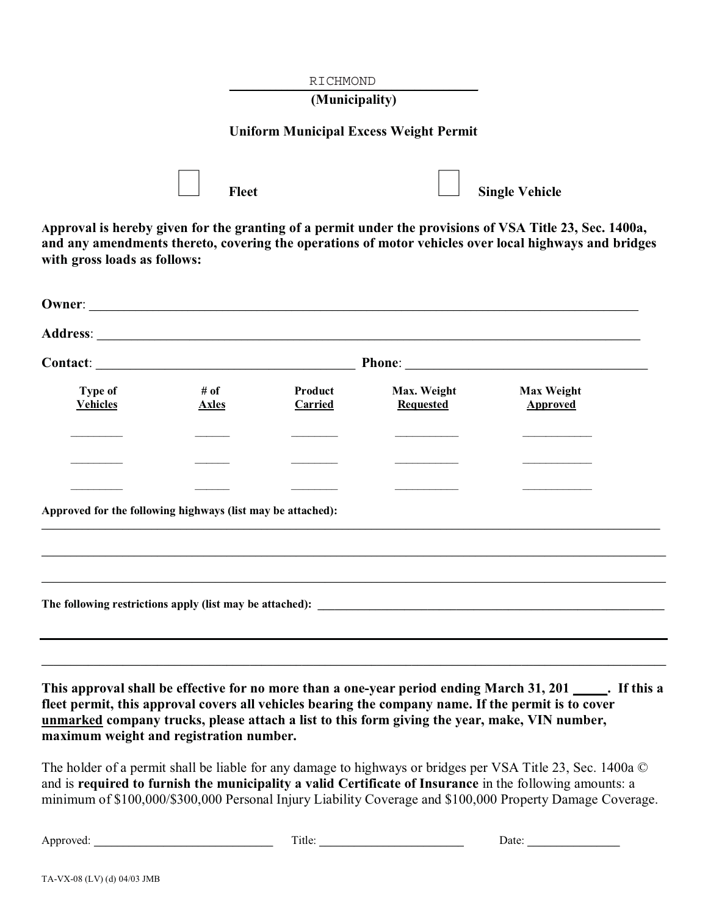|                                                             |                      | RICHMOND<br>(Municipality) |                                                                                               |                                                                                                                                                                                                                   |  |
|-------------------------------------------------------------|----------------------|----------------------------|-----------------------------------------------------------------------------------------------|-------------------------------------------------------------------------------------------------------------------------------------------------------------------------------------------------------------------|--|
|                                                             |                      |                            | <b>Uniform Municipal Excess Weight Permit</b>                                                 |                                                                                                                                                                                                                   |  |
|                                                             | <b>Fleet</b>         |                            |                                                                                               | <b>Single Vehicle</b>                                                                                                                                                                                             |  |
| with gross loads as follows:                                |                      |                            |                                                                                               | Approval is hereby given for the granting of a permit under the provisions of VSA Title 23, Sec. 1400a,<br>and any amendments thereto, covering the operations of motor vehicles over local highways and bridges  |  |
| Owner:                                                      |                      |                            |                                                                                               |                                                                                                                                                                                                                   |  |
|                                                             |                      |                            |                                                                                               |                                                                                                                                                                                                                   |  |
|                                                             |                      |                            |                                                                                               |                                                                                                                                                                                                                   |  |
| <b>Type of</b><br><b>Vehicles</b>                           | # of<br><b>Axles</b> | Product<br>Carried         | Max. Weight<br><b>Requested</b>                                                               | <b>Max Weight</b><br><b>Approved</b>                                                                                                                                                                              |  |
|                                                             |                      |                            |                                                                                               |                                                                                                                                                                                                                   |  |
| Approved for the following highways (list may be attached): |                      |                            |                                                                                               |                                                                                                                                                                                                                   |  |
|                                                             |                      |                            |                                                                                               |                                                                                                                                                                                                                   |  |
|                                                             |                      |                            |                                                                                               |                                                                                                                                                                                                                   |  |
|                                                             |                      |                            | unmarked company trucks, please attach a list to this form giving the year, make, VIN number, | This approval shall be effective for no more than a one-year period ending March 31, 201 ______. If this a<br>fleet permit, this approval covers all vehicles bearing the company name. If the permit is to cover |  |

The holder of a permit shall be liable for any damage to highways or bridges per VSA Title 23, Sec. 1400a © and is **required to furnish the municipality a valid Certificate of Insurance** in the following amounts: a minimum of \$100,000/\$300,000 Personal Injury Liability Coverage and \$100,000 Property Damage Coverage.

Approved: \_\_\_\_\_\_\_\_\_\_\_\_\_\_\_\_\_\_\_\_\_\_\_\_\_\_\_\_\_\_\_ Title: \_\_\_\_\_\_\_\_\_\_\_\_\_\_\_\_\_\_\_\_\_\_\_\_\_ Date: \_\_\_\_\_\_\_\_\_\_\_\_\_\_\_\_

**maximum weight and registration number.**